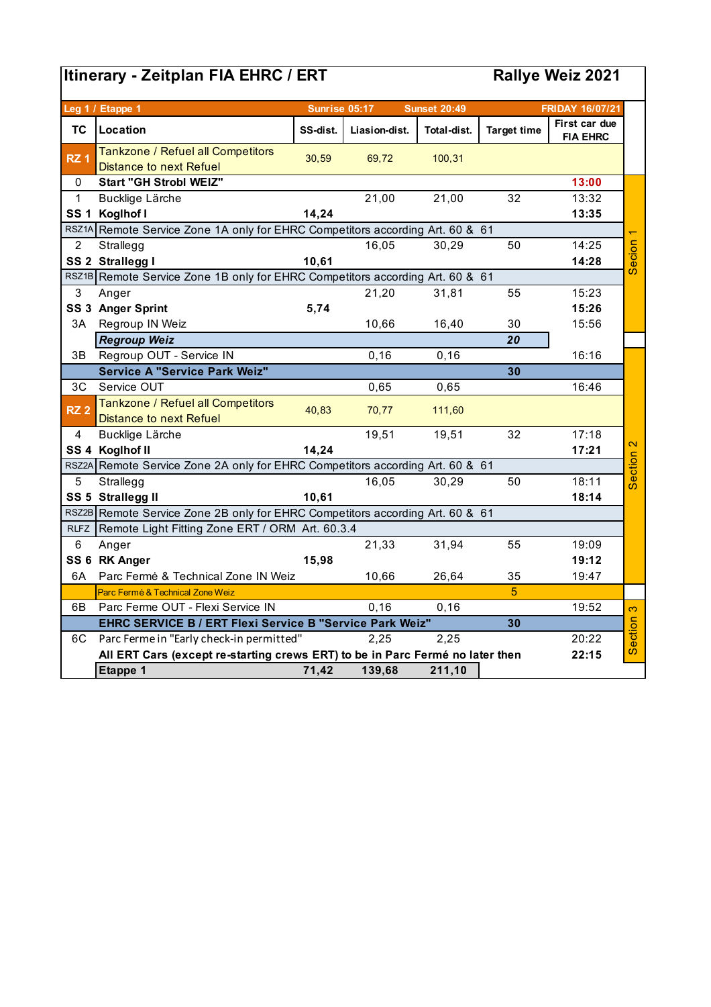## **Itinerary - Zeitplan FIA EHRC / ERT**

## **Rallye Weiz 2021**

|                 | Leg 1 / Etappe 1                                                                       | Sunrise 05:17                                                                 |               | <b>Sunset 20:49</b> |                    | <b>FRIDAY 16/07/21</b>           |                   |  |  |  |
|-----------------|----------------------------------------------------------------------------------------|-------------------------------------------------------------------------------|---------------|---------------------|--------------------|----------------------------------|-------------------|--|--|--|
| <b>TC</b>       | Location                                                                               | SS-dist.                                                                      | Liasion-dist. | Total-dist.         | <b>Target time</b> | First car due<br><b>FIA EHRC</b> |                   |  |  |  |
| RZ <sub>1</sub> | Tankzone / Refuel all Competitors<br><b>Distance to next Refuel</b>                    | 30,59                                                                         | 69,72         | 100,31              |                    |                                  |                   |  |  |  |
| 0               | <b>Start "GH Strobl WEIZ"</b>                                                          |                                                                               |               |                     |                    | 13:00                            |                   |  |  |  |
| $\mathbf{1}$    | Bucklige Lärche                                                                        |                                                                               | 21,00         | 21,00               | 32                 | 13:32                            |                   |  |  |  |
| <b>SS1</b>      | Koglhof I                                                                              | 14,24                                                                         |               |                     |                    | 13:35                            |                   |  |  |  |
| RSZ1A           | Remote Service Zone 1A only for EHRC Competitors according Art. 60 & 61                |                                                                               |               |                     |                    |                                  |                   |  |  |  |
| $\overline{2}$  | Strallegg                                                                              |                                                                               | 16,05         | 30,29               | 50                 | 14:25                            |                   |  |  |  |
|                 | SS 2 Strallegg I                                                                       | 10,61                                                                         |               |                     |                    | 14:28                            | Secion            |  |  |  |
|                 | RSZ1B Remote Service Zone 1B only for EHRC Competitors according Art. 60 & 61          |                                                                               |               |                     |                    |                                  |                   |  |  |  |
| 3               | Anger                                                                                  |                                                                               | 21,20         | 31,81               | 55                 | 15:23                            |                   |  |  |  |
|                 | SS 3 Anger Sprint                                                                      | 5,74                                                                          |               |                     |                    | 15:26                            |                   |  |  |  |
| 3A              | Regroup IN Weiz                                                                        |                                                                               | 10,66         | 16,40               | 30                 | 15:56                            |                   |  |  |  |
|                 | <b>Regroup Weiz</b>                                                                    |                                                                               |               |                     | 20                 |                                  |                   |  |  |  |
| 3B              | Regroup OUT - Service IN                                                               |                                                                               | 0, 16         | 0, 16               |                    | 16:16                            |                   |  |  |  |
|                 | <b>Service A "Service Park Weiz"</b>                                                   |                                                                               |               |                     | 30                 |                                  |                   |  |  |  |
| 3C              | Service OUT                                                                            |                                                                               | 0,65          | 0,65                |                    | 16:46                            |                   |  |  |  |
| RZ <sub>2</sub> | Tankzone / Refuel all Competitors                                                      | 40,83                                                                         | 70,77         | 111,60              |                    |                                  |                   |  |  |  |
|                 | <b>Distance to next Refuel</b>                                                         |                                                                               |               |                     |                    |                                  |                   |  |  |  |
| $\overline{4}$  | Bucklige Lärche                                                                        |                                                                               | 19,51         | 19,51               | 32                 | 17:18                            |                   |  |  |  |
|                 | SS 4 Koglhof II                                                                        | 14,24                                                                         |               |                     |                    | 17:21                            | $\mathbf{\Omega}$ |  |  |  |
|                 | RSZ2A Remote Service Zone 2A only for EHRC Competitors according Art. 60 & 61          |                                                                               |               |                     |                    |                                  | Section           |  |  |  |
| 5               | Strallegg                                                                              |                                                                               | 16,05         | 30,29               | 50                 | 18:11                            |                   |  |  |  |
|                 | SS 5 Strallegg II                                                                      | 10,61                                                                         |               |                     |                    | 18:14                            |                   |  |  |  |
|                 |                                                                                        | RSZ2B Remote Service Zone 2B only for EHRC Competitors according Art. 60 & 61 |               |                     |                    |                                  |                   |  |  |  |
| <b>RLFZ</b>     | Remote Light Fitting Zone ERT / ORM Art. 60.3.4                                        |                                                                               |               |                     |                    |                                  |                   |  |  |  |
| 6               | Anger                                                                                  |                                                                               | 21,33         | 31,94               | 55                 | 19:09                            |                   |  |  |  |
|                 | SS 6 RK Anger                                                                          | 15,98                                                                         |               |                     |                    | 19:12                            |                   |  |  |  |
| 6A              | Parc Ferme & Technical Zone IN Weiz                                                    |                                                                               | 10,66         | 26,64               | 35                 | 19:47                            |                   |  |  |  |
|                 | Parc Ferme & Technical Zone Weiz                                                       |                                                                               |               |                     | 5                  |                                  |                   |  |  |  |
| 6B              | Parc Ferme OUT - Flexi Service IN                                                      |                                                                               | 0, 16         | 0, 16               |                    | 19:52                            | 6                 |  |  |  |
|                 | 30<br>EHRC SERVICE B / ERT Flexi Service B "Service Park Weiz"                         |                                                                               |               |                     |                    |                                  |                   |  |  |  |
| 6C              | Parc Ferme in "Early check-in permitted"                                               |                                                                               | 2.25          | 2,25                |                    | 20:22                            | Section           |  |  |  |
|                 | All ERT Cars (except re-starting crews ERT) to be in Parc Fermé no later then<br>22:15 |                                                                               |               |                     |                    |                                  |                   |  |  |  |
|                 | Etappe 1                                                                               | 71,42                                                                         | 139,68        | 211,10              |                    |                                  |                   |  |  |  |